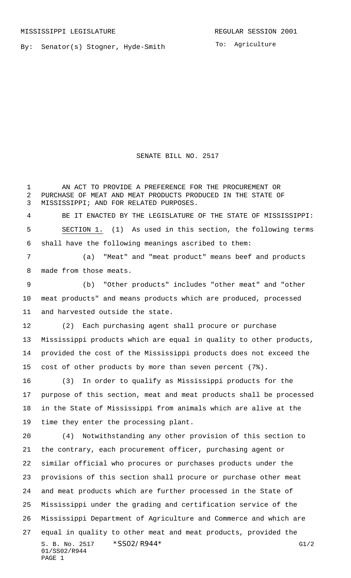By: Senator(s) Stogner, Hyde-Smith

To: Agriculture

SENATE BILL NO. 2517

1 AN ACT TO PROVIDE A PREFERENCE FOR THE PROCUREMENT OR

S. B. No. 2517 \* SSO2/R944\* G1/2 01/SS02/R944 PAGE 1 PURCHASE OF MEAT AND MEAT PRODUCTS PRODUCED IN THE STATE OF MISSISSIPPI; AND FOR RELATED PURPOSES. BE IT ENACTED BY THE LEGISLATURE OF THE STATE OF MISSISSIPPI: SECTION 1. (1) As used in this section, the following terms shall have the following meanings ascribed to them: (a) "Meat" and "meat product" means beef and products made from those meats. (b) "Other products" includes "other meat" and "other meat products" and means products which are produced, processed and harvested outside the state. (2) Each purchasing agent shall procure or purchase Mississippi products which are equal in quality to other products, provided the cost of the Mississippi products does not exceed the cost of other products by more than seven percent (7%). (3) In order to qualify as Mississippi products for the purpose of this section, meat and meat products shall be processed in the State of Mississippi from animals which are alive at the time they enter the processing plant. (4) Notwithstanding any other provision of this section to the contrary, each procurement officer, purchasing agent or similar official who procures or purchases products under the provisions of this section shall procure or purchase other meat and meat products which are further processed in the State of Mississippi under the grading and certification service of the Mississippi Department of Agriculture and Commerce and which are equal in quality to other meat and meat products, provided the